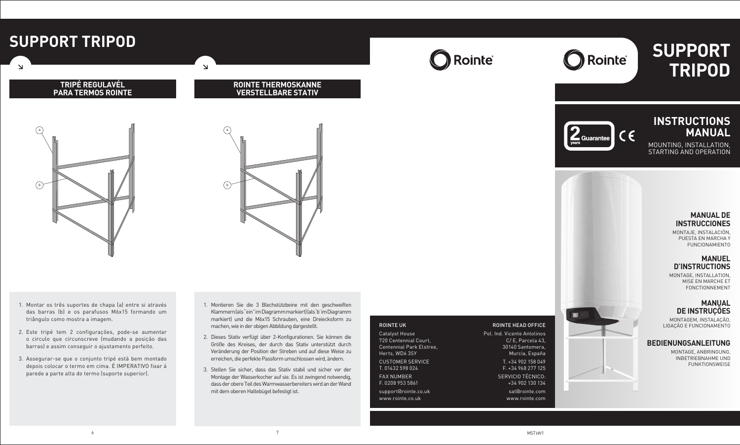# **INSTRUCTIONS MANUAL**

MOUNTING, INSTALLATION, STARTING AND OPERATION

# **SUPPORT TRIPOD**



# **MANUAL DE INSTRUCCIONES**

MONTAJE, INSTALACIÓN, PUESTA EN MARCHA Y FUNCIONAMIENTO

# **MANUEL D'INSTRUCTIONS**

MONTAGE, INSTALLATION, MISE EN MARCHE ET FONCTIONNEMENT

# **MANUAL DE INSTRUÇÕES**

MONTAGEM, INSTALAÇÃO, LIGAÇÃO E FUNCIONAMENTO

# **BEDIENUNGSANLEITUNG**

MONTAGE, ANBRINGUNG, INBETRIEBNAHME UND FUNKTIONSWEISE



### ROINTE HEAD OFFICE

Pol. Ind. Vicente Antolinos C/ E, Parcela 43, 30140 Santomera, Murcia, España T. +34 902 158 049 F. +34 968 277 125 SERVICIO TÉCNICO: +34 902 130 134 sat@rointe.com www.rointe.com

### ROINTE UK

Catalyst House 720 Centennial Court, Centennial Park Elstree, Herts, WD6 3SY CUSTOMER SERVICE

T. 01432 598 024

FAX NUMBER F. 0208 953 5861

support@rointe.co.uk www.rointe.co.uk



# **SUPPORT TRIPOD**

 $\Delta$ 

### **TRIPÉ REGULAVÉL PARA TERMOS ROINTE**

### **ROINTE THERMOSKANNE VERSTELLBARE STATIV**

 $\Delta$ 

- 1. Montar os três suportes de chapa (a) entre si através das barras (b) e os parafusos M6x15 formando um triângulo como mostra a imagem.
- 2. Este tripé tem 2 configurações, pode-se aumentar o circulo que circunscreve (mudando a posição das barras) e assim conseguir o ajustamento perfeito.
- 3. Assegurar-se que o conjunto tripé está bem montado depois colocar o termo em cima. É IMPERATIVO fixar á parede a parte alta do termo (suporte superior).
- 1. Montieren Sie die 3 Blechstützbeine mit den geschweiften Klammern (als "ein" im Diagramm markiert) (als 'b' im Diagramm markiert) und die M6x15 Schrauben, eine Dreiecksform zu machen, wie in der obigen Abbildung dargestellt.
- 2. Dieses Stativ verfügt über 2-Konfigurationen. Sie können die Größe des Kreises, der durch das Stativ unterstützt durch Veränderung der Position der Streben und auf diese Weise zu erreichen, die perfekte Passform umschlossen wird, ändern.
- 3. Stellen Sie sicher, dass das Stativ stabil und sicher vor der Montage der Wasserkocher auf sie. Es ist zwingend notwendig, dass der obere Teil des Warmwasserbereiters wird an der Wand mit dem oberen Haltebügel befestigt ist.